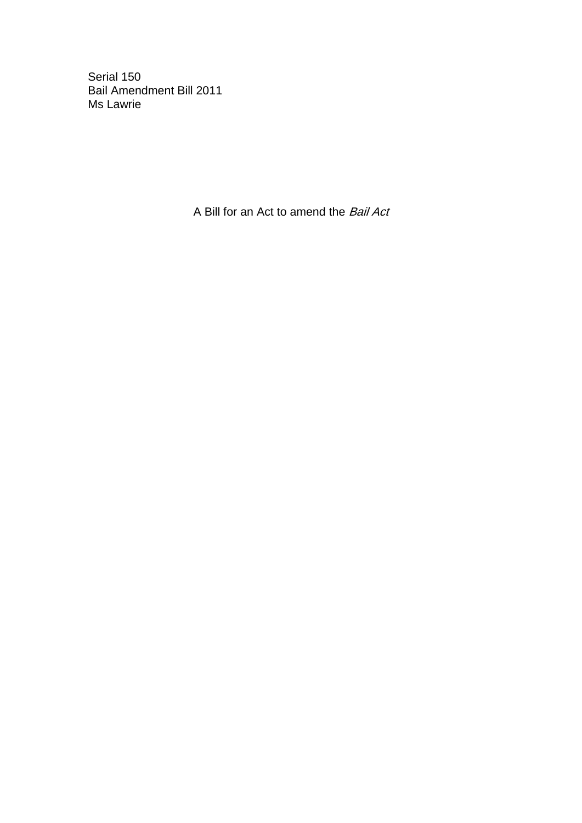Serial 150 Bail Amendment Bill 2011 Ms Lawrie

A Bill for an Act to amend the Bail Act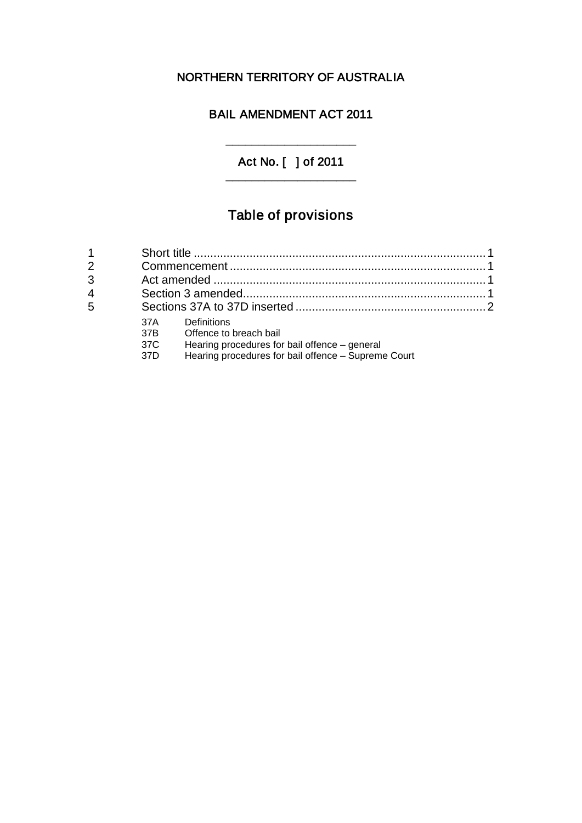## NORTHERN TERRITORY OF AUSTRALIA

## BAIL AMENDMENT ACT 2011

### Act No. [ ] of 2011 \_\_\_\_\_\_\_\_\_\_\_\_\_\_\_\_\_\_\_\_

 $\overline{\phantom{a}}$  , which is the contract of the contract of the contract of the contract of the contract of the contract of the contract of the contract of the contract of the contract of the contract of the contract of the co

# Table of provisions

| 2              |                          |                                                                                                                                               |  |
|----------------|--------------------------|-----------------------------------------------------------------------------------------------------------------------------------------------|--|
| 3              |                          |                                                                                                                                               |  |
| $\overline{4}$ |                          |                                                                                                                                               |  |
| 5              |                          |                                                                                                                                               |  |
|                | 37A<br>37B<br>37C<br>37D | Definitions<br>Offence to breach bail<br>Hearing procedures for bail offence - general<br>Hearing procedures for bail offence - Supreme Court |  |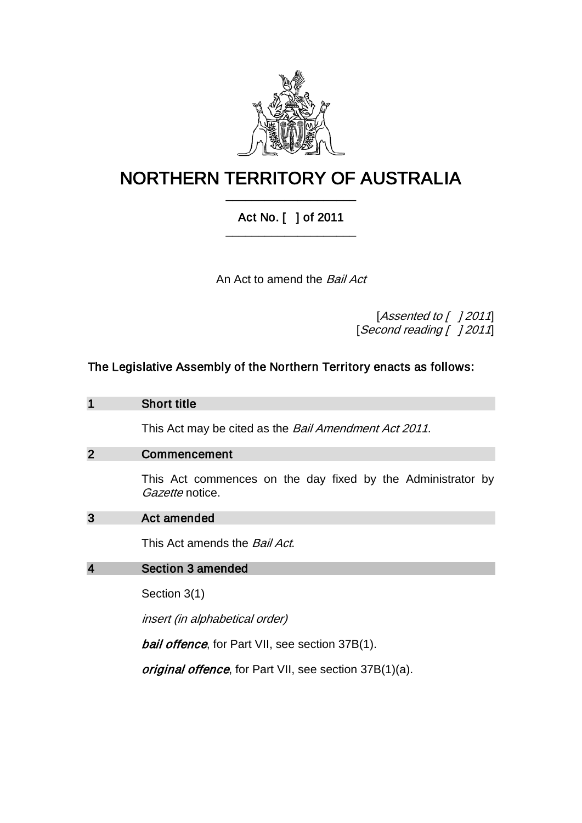

## NORTHERN TERRITORY OF AUSTRALIA \_\_\_\_\_\_\_\_\_\_\_\_\_\_\_\_\_\_\_\_

## Act No. [ ] of 2011 \_\_\_\_\_\_\_\_\_\_\_\_\_\_\_\_\_\_\_\_

An Act to amend the Bail Act

[Assented to [ ] 2011] [Second reading [ ] 2011]

## The Legislative Assembly of the Northern Territory enacts as follows:

| $\mathbf 1$             | <b>Short title</b>                                                                    |  |  |
|-------------------------|---------------------------------------------------------------------------------------|--|--|
|                         | This Act may be cited as the <i>Bail Amendment Act 2011</i> .                         |  |  |
| $\overline{2}$          | Commencement                                                                          |  |  |
|                         | This Act commences on the day fixed by the Administrator by<br><i>Gazette</i> notice. |  |  |
| 3                       | Act amended                                                                           |  |  |
|                         | This Act amends the <i>Bail Act</i> .                                                 |  |  |
| $\overline{\mathbf{4}}$ | Section 3 amended                                                                     |  |  |
|                         | Section 3(1)                                                                          |  |  |
|                         | <i>insert (in alphabetical order)</i>                                                 |  |  |
|                         | <b><i>bail offence</i></b> , for Part VII, see section 37B(1).                        |  |  |
|                         | <i>original offence</i> , for Part VII, see section 37B(1)(a).                        |  |  |
|                         |                                                                                       |  |  |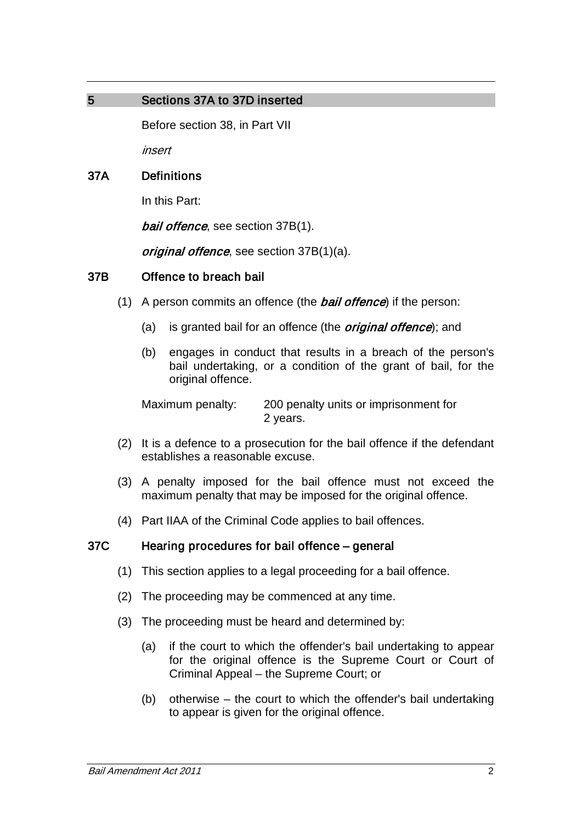## 5 Sections 37A to 37D inserted

Before section 38, in Part VII

insert

### 37A Definitions

In this Part:

*bail offence*, see section 37B(1).

original offence, see section 37B(1)(a).

#### 37B Offence to breach bail

- (1) A person commits an offence (the **bail offence**) if the person:
	- (a) is granted bail for an offence (the *original offence*); and
	- (b) engages in conduct that results in a breach of the person's bail undertaking, or a condition of the grant of bail, for the original offence.

Maximum penalty: 200 penalty units or imprisonment for 2 years.

- (2) It is a defence to a prosecution for the bail offence if the defendant establishes a reasonable excuse.
- (3) A penalty imposed for the bail offence must not exceed the maximum penalty that may be imposed for the original offence.
- (4) Part IIAA of the Criminal Code applies to bail offences.

#### 37C Hearing procedures for bail offence – general

- (1) This section applies to a legal proceeding for a bail offence.
- (2) The proceeding may be commenced at any time.
- (3) The proceeding must be heard and determined by:
	- (a) if the court to which the offender's bail undertaking to appear for the original offence is the Supreme Court or Court of Criminal Appeal – the Supreme Court; or
	- (b) otherwise the court to which the offender's bail undertaking to appear is given for the original offence.